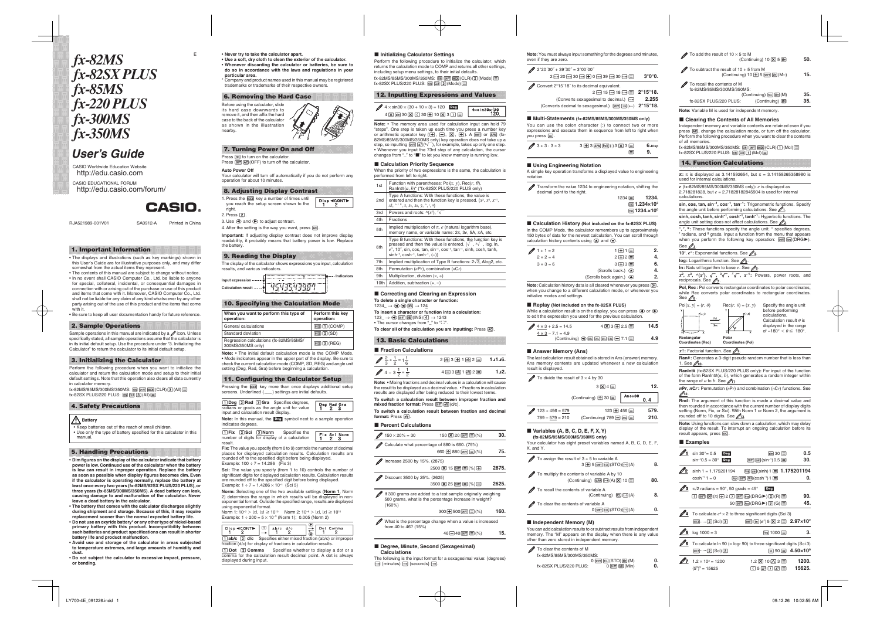# *fx-82MS fx-82SX PLUS fx-85MS fx-220 PLUS fx-300MS fx-350MS*

## *User's Guide*

CASIO Worldwide Education Website <http://edu.casio.com> CASIO EDUCATIONAL FORUM <http://edu.casio.com/forum/>

**CASIO** 

RJA521989-001V01 SA0912-A Printed in China

## **1. Important Information**

• The displays and illustrations (such as key markings) shown in this User's Guide are for illustrative purposes only, and may differ somewhat from the actual items they represent.

• The contents of this manual are subject to change without notice. • In no event shall CASIO Computer Co., Ltd. be liable to anyone for special, collateral, incidental, or consequential damages in connection with or arising out of the purchase or use of this product and items that come with it. Moreover, CASIO Computer Co., Ltd. shall not be liable for any claim of any kind whatsoever by any other party arising out of the use of this product and the items that come with it.

• Be sure to keep all user documentation handy for future reference.

#### **2. Sample Operations**

Sample operations in this manual are indicated by a  $\mathscr P$  icon. Unless specifically stated, all sample operations assume that the calculator is in its initial default setup. Use the procedure under "3. Initializing the Calculator" to return the calculator to its initial default setup.

#### **3. Initializing the Calculator**

Perform the following procedure when you want to initialize the calculator and return the calculation mode and setup to their initial default settings. Note that this operation also clears all data currently in calculator memory.

(X-82MS/85MS/300MS/350MS: @N [SHET] [MODE] (CLR) [3] (All) fx-82SX PLUS/220 PLUS: p r 3(All) =

## **4. Safety Precautions**

 **Battery**  • Keep batteries out of the reach of small children.

• Use only the type of battery specified for this calculator in this manual.

#### **5. Handling Precautions**

• **Dim figures on the display of the calculator indicate that battery power is low. Continued use of the calculator when the battery is low can result in improper operation. Replace the battery as soon as possible when display figures becomes dim. Even if the calculator is operating normally, replace the battery at least once every two years (fx-82MS/82SX PLUS/220 PLUS), or three years (fx-85MS/300MS/350MS). A dead battery can leak, causing damage to and malfunction of the calculator. Never leave a dead battery in the calculator.** 

• **The battery that comes with the calculator discharges slightly during shipment and storage. Because of this, it may require replacement sooner than the normal expected battery life.**  • **Do not use an oxyride battery\* or any other type of nickel-based primary battery with this product. Incompatibility between such batteries and product specifications can result in shorter battery life and product malfunction.** 

• **Avoid use and storage of the calculator in areas subjected to temperature extremes, and large amounts of humidity and dust.** 

• **Do not subject the calculator to excessive impact, pressure, or bending.** 

E • **Never try to take the calculator apart.**  • **Use a soft, dry cloth to clean the exterior of the calculator.**  • **Whenever discarding the calculator or batteries, be sure to do so in accordance with the laws and regulations in your particular area.** 

\* Company and product names used in this manual may be registered trademarks or trademarks of their respective owners.

#### **6. Removing the Hard Case**

Before using the calculator, slide its hard case downwards to remove it, and then affix the hard case to the back of the calculator as shown in the illustration nearby.

## **7. Turning Power On and Off**

Press *[o*iv] to turn on the calculator. Press  $\overline{\text{Suff}}$  AC(OFF) to turn off the calculator.

#### **Auto Power Off**

Your calculator will turn off automatically if you do not perform any operation for about 10 minutes.

## **8. Adjusting Display Contrast**

- 1. Press the **MODE** key a number of times until Disp <CONT▶ you reach the setup screen shown to the right.
- 2. Press **2**.

3. Use  $\textcircled{\footnotesize{a}}$  and  $\textcircled{\footnotesize{b}}$  to adjust contrast.

4. After the setting is the way you want, press [AC]. **Important:** If adjusting display contrast does not improve display readability, it probably means that battery power is low. Replace the hatten

#### **9. Reading the Display**

The display of the calculator shows expressions you input, calculation results, and various indicators. **Indicators** 

| nput expression ···     | <br> |
|-------------------------|------|
| ulation result:<br>∩ale |      |
|                         |      |

## **10. Specifying the Calculation Mode**

| operation:           | When you want to perform this type of  | Perform this key<br>operation: |
|----------------------|----------------------------------------|--------------------------------|
| General calculations |                                        | MODE [T] (COMP)                |
| Standard deviation   |                                        | $[MODE]$ $[2]$ $(SD)$          |
| 300MS/350MS only)    | Regression calculations (fx-82MS/85MS/ | $[MODE]$ $[3]$ $(REG)$         |

**Note:** • The initial default calculation mode is the COMP Mode. • Mode indicators appear in the upper part of the display. Be sure to check the current calculation mode (COMP, SD, REG) and angle unit setting (Deg, Rad, Gra) before beginning a calculation.

#### **11. Configuring the Calculator Setup**

Pressing the **MODE** key more than once displays additional setup screens. Underlined (\_\_\_) settings are initial defaults.

| [1] Deq [2] Rad [3] Gra Specifies degrees,<br>radians or grads as the angle unit for value | Deg Rad Gra<br>1 2 3 |
|--------------------------------------------------------------------------------------------|----------------------|
| input and calculation result display.                                                      |                      |
| Note: In this manual, the Deg symbol next to a sample operation                            |                      |

indicates degrees. **22** BMorm 3**Norm** Specifies the

|         | $\boxed{1}$ Fix $\boxed{2}$ Sci $\boxed{3}$ Norm | Specifies the                                 |                                                                                                |
|---------|--------------------------------------------------|-----------------------------------------------|------------------------------------------------------------------------------------------------|
|         |                                                  | number of digits for display of a calculation | $\begin{array}{ c c } \hline \text{Fix } \text{Sci} \\ \hline \text{1} & \text{2} \end{array}$ |
| result. |                                                  |                                               |                                                                                                |

**Fix:** The value you specify (from 0 to 9) controls the number of decimal places for displayed calculation results. Calculation results are rounded off to the specified digit before being displayed. Example:  $100 \div 7 = 14.286$  (Fix 3)

**Sci:** The value you specify (from 1 to 10) controls the number of significant digits for displayed calculation results. Calculation results are rounded off to the specified digit before being displayed. Example:  $1 \div 7 = 1.4286 \times 10^{-1}$  (Sci 5)

**Norm:** Selecting one of the two available settings ( **Norm 1** , Norm 2) determines the range in which results will be displayed in nonexponential format. Outside the specified range, results are displayed using exponential format.

Norm 1: 10<sup>-2</sup> > |*x*|, |*x*| ≧ 10<sup>10</sup> Norm 2: 10<sup>-9</sup> > |*x*|, |*x*| ≧ 10<sup>10</sup> Example:  $1 \div 200 = 5 \times 10^{-3}$  (Norm 1); 0.005 (Norm 2)

|  | Disp $\triangleleft$ CONT $\triangleright$ $\Box$ ab/c d/c                | Dot Comma |
|--|---------------------------------------------------------------------------|-----------|
|  | $\Box$ ab/c $\Box$ d/c Specifies either mixed fraction (ab/c) or improper |           |

fraction (d/c) for display of fractions in calculation results. 1**Dot**  2 **Comma** Specifies whether to display a dot or a comma for the calculation result decimal point. A dot is always displayed during input.

#### **Initializing Calculator Settings** k

Perform the following procedure to initialize the calculator, which returns the calculation mode to COMP and returns all other settings, including setup menu settings, to their initial defaults. fx-82MS/85MS/300MS/350MS: @N [shift] M00E] (CLR) [2] (Mode) ⊟ fx-82SX PLUS/220 PLUS: p r c(Mode) =

## **12. Inputting Expressions and Values**

| A $\times$ sin30 $\times$ (30 + 10 $\times$ 3) = 120 Deg |                                 |
|----------------------------------------------------------|---------------------------------|
| 4 区 5 30 区 〇 30 田 10 区 3 〇 日                             | $4x\sin 30 \times (30)$<br>120. |
|                                                          |                                 |

**Note:** • The memory area used for calculation input can hold 79 "steps". One step is taken up each time you press a number key or arithmetic operator key  $(\mathbf{H},\mathbf{\color{blue}\blacksquare},\mathbf{\color{red}\blacksquare})$ ,  $\mathbf{\color{red}\blacktriangleleft})$ . A  $\mathbf{\color{blue}\texttt{S}\color{black}}$  or  $\mathbf{\color{blue}\texttt{M}\color{black}}\mathbf{\color{blue}\texttt{M}\color{black}})$ 82MS/85MS/300MS/350MS only) key operation does not take up a step, so inputting  $\left[\mathbb{H}\right]\left[\mathcal{X}^3\right]({}^3\sqrt{\phantom{a}}\,)$ , for example, takes up only one step. • Whenever you input the 73rd step of any calculation, the cursor changes from "\_" to " $\blacksquare$ " to let you know memory is running low.

#### **■ Calculation Priority Sequence**

When the priority of two expressions is the same, the calculation is performed from left to right.

- 1st Function with parentheses:  $Pol(x, y)$ , Rec( $r$ ,  $\theta$ ),  $\n$  **RanInt#(a, b)\* (\*fx-82SX PLUS/220 PLUS only)**
- 2nd Type A functions: With these functions, the value is entered and then the function key is pressed.  $(x^3, x^2, x^{-1},$ *x*!. <sup>o</sup> ' ",  $\hat{x}$ ,  $\hat{x}$ <sub>1</sub>,  $\hat{x}$ <sub>2</sub>,  $\hat{y}$ , °, <sup>r</sup>, <sup>g</sup>)
- 3rd | Powers and roots:  $\wedge (x^y)$ ,  $\sqrt[x]{\ }$
- 4th **Fractions**
- 5th Implied multiplication of π, *e* (natural logarithm base), memory name, or variable name: 2π, 3*e*, 5A, πA, etc.
- 6th Type B functions: With these functions, the function key is pressed and then the value is entered. ( $\sqrt{\phantom{a}}$  ,  $\sqrt[3]{\phantom{a}}$  , log, ln, *e<sup>x</sup>*, 10<sup>*x*</sup>, sin, cos, tan, sin<sup>-1</sup>, cos<sup>-1</sup>, tan<sup>-1</sup>, sinh, cosh, tanh,
- $sinh^{-1}$ , cosh<sup>-1</sup>, tanh<sup>-1</sup>, (-)) 7th | Implied multiplication of Type B functions:  $2\sqrt{3}$ , Alog2, etc.
- 8th Permutation (*nPr*), combination (*nCr*) 9th Multiplication, division  $(x, \frac{1}{x})$
- 10th Addition, subtraction  $(+, -)$

#### **■ Correcting and Clearing an Expression**

**To delete a single character or function:**   $1234 \n $\rightarrow$  ⊕ **③ ②**  $\rightarrow$  124$ 

**To insert a character or function into a calculation:**   $123 \_\rightarrow$   $\bigcirc$  (shift  $\overline{0}$ EL) (INS) (4)  $\rightarrow$  1243 • The cursor changes from " " to "[]

**To clear all of the calculation you are inputting: Press AC.** 

## **13. Basic Calculations**

#### **■ Fraction Calculations**

| $\sqrt{2}$ $\frac{2}{3} + \frac{1}{2} = 1\frac{1}{6}$ | 2函3田1函2目 1.1.1.6. |       |
|-------------------------------------------------------|-------------------|-------|
| $\cancel{4}$ 4 - 3 $\frac{1}{2}$ = $\frac{1}{2}$      | 4日3國1國2日          | 1.12. |

**Note:** • Mixing fractions and decimal values in a calculation will cause the result to be displayed as a decimal value. • Fractions in calculation results are displayed after being reduced to their lowest terms.

**To switch a calculation result between improper fraction and mixed fraction format:** Press आि*क्टि* (d/c). **To switch a calculation result between fraction and decimal** 

**format:** Press \$.

#### **■ Percent Calculations**

No rm

 $(160\%)$ 

- $\cancel{2}$  150  $\times$  20% = 30  $\mathbf{X}$  20  $\text{SHP} \equiv (\%)$  30. Calculate what percentage of 880 is 660. (75%)  $660 \oplus 880$   $\text{SHP} \equiv (\%)$  **75.** *M* Increase 2500 by 15%. (2875)  $(2500)$   $\boxed{\mathbf{X}}$  15  $\boxed{\text{SHP}}$   $(\equiv)$   $(\%)$ + **2875.**
- Discount 3500 by 25%. (2625)  $3500$   $\boxed{\mathbf{X}}$  25  $\boxed{\mathbf{s}}$   $\boxed{\blacksquare}$   $\binom{\%}{\%}$ - **2625.**
- If 300 grams are added to a test sample originally weighing 500 grams, what is the percentage increase in weight?

| 160<br>300 $\boxplus$ 500 $\text{SHP}$ $\boxminus$ (%) |
|--------------------------------------------------------|
|--------------------------------------------------------|

What is the percentage change when a value is increased from 40 to 46? (15%)

<u>461 - 461 - 462 - 463 - 464 - 464 - 465 - 466 - 467 - 468 - 469 - 469 - 469 - 469 - 469 - 469 - 469 - 469 - 4</u>  $\Box$ 40  $\Im$ H $\Box$  (%) **15.** 

#### **Degree, Minute, Second (Sexagesimal)**  k **Calculations**

The following is the input format for a sexagesimal value: {degrees}  $\overline{\mathbf{m}}$  {minutes}  $\overline{\mathbf{m}}$  {seconds}  $\overline{\mathbf{m}}$ .

**Note:** You must always input something for the degrees and minutes, even if they are zero.

| $2°20'30" + 39'30" = 3°00'00"$<br>$2 \,$ $\overline{m}$ $20 \,$ $\overline{m}$ $30 \,$ $\overline{m}$ $\overline{H}$ $0 \,$ $\overline{m}$ $39 \,$ $\overline{m}$ $30 \,$ $\overline{m}$ $\overline{m}$ | $3^{\circ}0^{\circ}0$ . |
|---------------------------------------------------------------------------------------------------------------------------------------------------------------------------------------------------------|-------------------------|
| Convert 2°15'18" to its decimal equivalent.<br>2 <del>. 15. 18. 18. 18.</del> 2°15°18.                                                                                                                  |                         |

 $\sqrt{2}$  To add the result of 10  $\times$  5 to M

 $\mathscr X$  To recall the contents of M fx-82MS/85MS/300MS/350MS:

of all memories.

calculations.

See  $\mathbb{Z}_3$ .

See  $\mathscr{D}_8$ .  $Pol(x, y) = (r, \theta)$ 

1. See **10**.

**12**.

reciprocals. See  $\mathbb{Z}_7$ 

**Rectangular Polar**<br>Coordinates (Rec) Coor

 $x!$ : Factorial function. See  $\mathbb{Z}_9$ .

 $Pol$  $Rec$ 

the range of  $a$  to  $b$ . See  $\mathbb{Z}_{11}$ .

rounded off to 10 digits. See  $\mathbb{Z}_1$ 3.

result appears, press [AC]. ■ Examples

**1** sin 30 $^{\circ}$  = 0.5 **Deg** 

sinh 1 = 1.175201194 **2**

**MODE ....** 2 (Sci)

**MODE 2 (Sci) 3** 

 $(5<sup>2</sup>)<sup>3</sup> = 15625$ 

 $\mathscr{V}$ **7**  $1.2 \times 10^3 = 1200$  1.2

 $\cancel{0.5}$  log 1000 = 3

 $cosh^{-1} 1 = 0$ 

 $sin^{-1}0.5 = 30^\circ$  Deg

 $\frac{3}{\pi}$   $\pi/2$  radians = 90°, 50 grads = 45° **Deg** 

 $\mathbb{Z}$  To calculate  $e^5 \times 2$  to three significant digits (Sci 3)

 $\mathscr D$  To subtract the result of 10 + 5 from M

**Note:** Variable M is used for independent memory. **Clearing the Contents of All Memories** k

fx-82SX PLUS/220 PLUS: p r 1(Mcl) = **14. Function Calculations**

used for internal calculations.

 $10^x$ ,  $e^x$ : Exponential functions. See  $\mathbb{Z}_4$ . **log:** Logarithmic function. See  $\mathscr{D}_5$ **ln:** Natural logarithm to base  $e$ . See  $\mathscr{O}_6$ 

 $\sim$  (Continuing) 10  $\overline{\mathbf{x}}$  5 MH 50.

 $(Continuing)$  10  $\overline{+}$  5  $\overline{5}$   $\overline{m}$   $\overline{m}$   $(M-)$  **15.** 

 $(Continuing)$  **RCL**  $(M)$  **35.** fx-82SX PLUS/220 PLUS: (Continuing) MR

Independent memory and variable contents are retained even if you press [AC], change the calculation mode, or turn off the calculator. Perform the following procedure when you want to clear the contents

<sup>π</sup>**:** π is displayed as 3.141592654, but π = 3.14159265358980 is

sin, cos, tan, sin<sup>-1</sup>, cos<sup>-1</sup>, tan<sup>-1</sup>: Trigonometric functions. Specify the angle unit before performing calculations. See  $\mathbb{Z}_1$ . sinh, cosh, tanh, sinh<sup>-1</sup>, cosh<sup>-1</sup>, tanh<sup>-1</sup>: Hyperbolic functions. The angle unit setting does not affect calculations. See 2. <sup>o</sup>, r, <sup>g</sup>; These functions specify the angle unit. ° specifies degrees,  $\frac{r}{2}$  radians, and  $\frac{9}{2}$  grads. Input a function from the menu that appears when you perform the following key operation:  $[**SHFT**]$   $[**Ans**]$   $(DRG)$ .

*<sup>x</sup>***2 ,** *x* **3 , ^(** *x y* **),** '**, <sup>3</sup>** '**,** *<sup>x</sup>* '**,** *<sup>x</sup>***−1 :** Powers, power roots, and

Pol, Rec : Pol converts rectangular coordinates to polar coordinates, while Rec converts polar coordinates to rectangular coordinates.

> Specify the angle unit before performing calculations. Calculation result  $\theta$  is displayed in the range of  $-180^\circ < \theta \le 180^\circ$

> > $\sin 30 \equiv$

**Mg** sing (sinh) 1  $\equiv$  1.175201194

**c**osh=1)1 ⊟ **0.** 

**l** 1000 目 3.

 $\text{m}$  90  $\text{m}$  4.50×10<sup>°</sup>

= **1200.** 

= **15625.** 

 $\text{SHFT}$   $\text{sin} (\text{sin}^{-1}) 0.5$ 

3  $\text{Im}(\text{ln}(e^x) \cdot 5) \times 2 = 2.97 \times 10^2$ 

 $\boxtimes$  10  $\boxtimes$  3

 $\Box$  5  $\overline{x}$   $\Box$   $\overline{x}$   $\overline{x}$ 

( 1 E(π)/ 2 )1G(DRG')c(R) = **90.**  $50 \pmod{45}$  (DRG  $\blacktriangleright$  )  $\boxed{3}$  (G)  $\boxdot$   $\Box$   $\Box$  **45.** 

 $\mathbb{Z}$  6 To calculate ln 90 (= loge 90) to three significant digits (Sci 3)

= **0.5** 

= **30.** 

 $\text{Rec}(r, \theta) = (x, y)$ 

**Coordinates (Rec) Coordinates (Pol)**

**Ran# :** Generates a 3-digit pseudo random number that is less than

**RanInt#** (fx-82SX PLUS/220 PLUS only) **:** For input of the function of the form RanInt# $(a, b)$ , which generates a random integer within

 $n Pr$ ,  $n Cr$ : Permutation ( $n Pr$ ) and combination ( $n Cr$ ) functions. See

**Rnd :** The argument of this function is made a decimal value and then rounded in accordance with the current number of display digits setting (Norm, Fix, or Sci). With Norm 1 or Norm 2, the argument is

**Note:** Using functions can slow down a calculation, which may delay display of the result. To interrupt an ongoing calculation before its

*<sup>e</sup>*(fx-82MS/85MS/300MS/350MS only) **:** *<sup>e</sup>*is displayed as 2.718281828, but *e* = 2.71828182845904 is used for internal

fx-82MS/85MS/300MS/350MS: [0N] [SHIFT] [MODE] (CLR) [1] (McI) [=]

n **35.** 

(Converts sexagesimal to decimal.)  $\cdot \cdot \cdot$  2.255 (Converts decimal to sexagesimal.) ! \$(←) **2°15°18.**

#### ■ Multi-Statements (fx-82MS/85MS/300MS/350MS only)

You can use the colon character (:) to connect two or more expressions and execute them in sequence from left to right when you press  $\Xi$ .

| $243:3\times3$ | $3 \oplus 3$ (APHA) $Poi( )$ (:) $3 \times 3 \equiv 1$ | 6.Disp |
|----------------|--------------------------------------------------------|--------|
|                |                                                        |        |

#### **■ Using Engineering Notation**

A simple key operation transforms a displayed value to engineering notation.

| Transform the value 1234 to engineering notation, shifting the<br>decimal point to the right. |          |                                                                          |
|-----------------------------------------------------------------------------------------------|----------|--------------------------------------------------------------------------|
|                                                                                               | $1234$ 目 | 1234.<br>ENG 1.234 $\times$ 10 <sup>3</sup><br>ENG 1234.×10 <sup>°</sup> |

■ Calculation History (Not included on the fx-82SX PLUS) In the COMP Mode, the calculator remembers up to approximately 150 bytes of data for the newest calculation. You can scroll through calculation history contents using  $\textcircled{\small{\texttt{a}}}$  and  $\textcircled{\small{\texttt{c}}}$ .

| $1 + 1 = 2$ | 1田1日                          | 2. |
|-------------|-------------------------------|----|
| $2 + 2 = 4$ | 2F12F                         | 4. |
| $3 + 3 = 6$ | $3 \text{ F} 3 \text{ F}$     | 6. |
|             | (Scrolls back.) $\circled{a}$ | 4. |
|             | (Scrolls back again.) <a></a> | 2. |

Note: Calculation history data is all cleared whenever you press [ON], when you change to a different calculation mode, or whenever you initialize modes and settings.

While a calculation result is on the display, you can press  $\textcircled{\small{\texttt{0}}}$  or  $\textcircled{\small{\texttt{}}}$ to edit the expression you used for the previous calculation.

(Continuing) dYYYY - 7.1 = **4.9**

The last calculation result obtained is stored in Ans (answer) memory. Ans memory contents are updated whenever a new calculation

Your calculator has eight preset variables named A, B, C, D, E, F,

 $(Continuing)$   $\mathbb{R} \boxplus \odot (A) \boxtimes 10 \equiv$  **80.** 

 $(Continuing)$   $[rel]$   $[ed]$   $(A)$  **8.** 

 $\overline{O}$  **O**  $\overline{S}$  **DETE RCL**  $(STO)$   $\overline{O}$  **(A)**  $\overline{O}$ 

You can add calculation results to or subtract results from independent memory. The "M" appears on the display when there is any value

 $0 \text{ (SHT)} \text{ (RCl)} (STO) \text{ (M)} (M)$  0.

 $3 \times 4 \equiv$ 

123 田 456 目

Ans $\div$ 30

 $\bigoplus$  5  $\text{SHE}$   $\text{RCl}$  (STO)  $\bigoplus$  (A)  $\qquad$  **8.** 

**SHIFT MR** (Min) **0.** 

 $\boxtimes$  3  $\boxplus$  2.5

= **14.5** 

= **12.** 

= **579.** 

 $0.4$ 

= **210.**

■ Replay (Not included on the fx-82SX PLUS)

 $\cancel{4 \times 3}$  + 2.5 = 14.5

result is displayed.

 $\cancel{2}$  123 + 456 = 579

3

X, and Y.

 $\frac{4 \times 3}{4}$  – 7.1 = 4.9

**■ Answer Memory (Ans)** 

 $\mathscr{D}$  To divide the result of 3  $\times$  4 by 30 3

 $(Continuing) \quad \implies \quad 30 \equiv$ 

■ Variables (A, B, C, D, E, F, X, Y) **(fx-82MS/85MS/300MS/350MS only)** 

 $\mathscr X$  To assign the result of 3 + 5 to variable A

To multiply the contents of variable A by 10

To recall the contents of variable A

To clear the contents of variable A

other than zero stored in independent memory.

■ Independent Memory (M)

 $\mathscr D$  To clear the contents of M fx-82MS/85MS/300MS/350MS:

fx-82SX PLUS/220 PLUS:

789 – <u>579</u> = 210 (Continuing) 789 **⊟** [ans